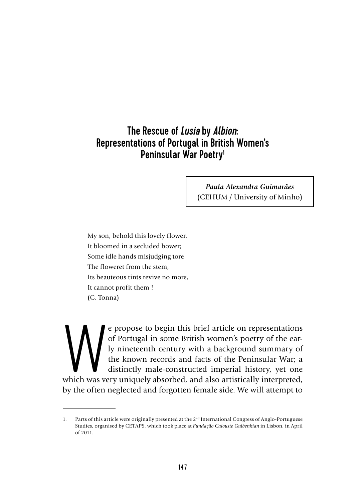# The Rescue of L*usia* by *Albion*: Representations of Portugal in British Women's Peninsular War Poetry<sup>1</sup>

*Paula Alexandra Guimarães*  (CEHUM / University of Minho)

My son, behold this lovely flower, It bloomed in a secluded bower; Some idle hands misjudging tore The floweret from the stem, Its beauteous tints revive no more, It cannot profit them ! (C. Tonna)

e propose to begin this brief article on representations of Portugal in some British women's poetry of the early nineteenth century with a background summary of the known records and facts of the Peninsular War; a distinct of Portugal in some British women's poetry of the early nineteenth century with a background summary of the known records and facts of the Peninsular War; a distinctly male-constructed imperial history, yet one which was very uniquely absorbed, and also artistically interpreted, by the often neglected and forgotten female side. We will attempt to

<sup>1.</sup> Parts of this article were originally presented at the 2nd International Congress of Anglo-Portuguese Studies, organised by CETAPS, which took place at *Fundação Calouste Gulbenkian* in Lisbon, in April of 2011.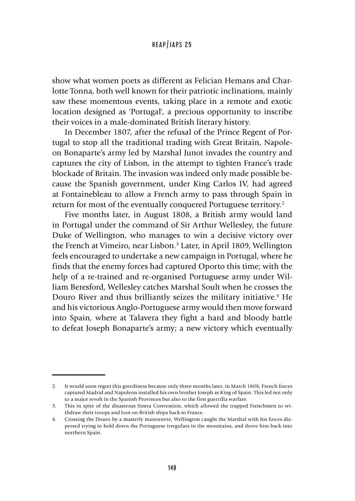show what women poets as different as Felician Hemans and Charlotte Tonna, both well known for their patriotic inclinations, mainly saw these momentous events, taking place in a remote and exotic location designed as 'Portugal', a precious opportunity to inscribe their voices in a male-dominated British literary history.

In December 1807, after the refusal of the Prince Regent of Portugal to stop all the traditional trading with Great Britain, Napoleon Bonaparte's army led by Marshal Junot invades the country and captures the city of Lisbon, in the attempt to tighten France's trade blockade of Britain. The invasion was indeed only made possible because the Spanish government, under King Carlos IV, had agreed at Fontainebleau to allow a French army to pass through Spain in return for most of the eventually conquered Portuguese territory.2

Five months later, in August 1808, a British army would land in Portugal under the command of Sir Arthur Wellesley, the future Duke of Wellington, who manages to win a decisive victory over the French at Vimeiro, near Lisbon.<sup>3</sup> Later, in April 1809, Wellington feels encouraged to undertake a new campaign in Portugal, where he finds that the enemy forces had captured Oporto this time; with the help of a re-trained and re-organised Portuguese army under William Beresford, Wellesley catches Marshal Soult when he crosses the Douro River and thus brilliantly seizes the military initiative.4 He and his victorious Anglo-Portuguese army would then move forward into Spain, where at Talavera they fight a hard and bloody battle to defeat Joseph Bonaparte's army; a new victory which eventually

<sup>2.</sup> It would soon regret this greediness because only three months later, in March 1808, French forces captured Madrid and Napoleon installed his own brother Joseph as King of Spain. This led not only to a major revolt in the Spanish Provinces but also to the first guerrilla warfare.

<sup>3.</sup> This in spite of the disastrous Sintra Convention, which allowed the trapped Frenchmen to withdraw their troops and loot on British ships back to France.

<sup>4.</sup> Crossing the Douro by a masterly manoeuvre, Wellington caught the Marshal with his forces dispersed trying to hold down the Portuguese irregulars in the mountains, and drove him back into northern Spain.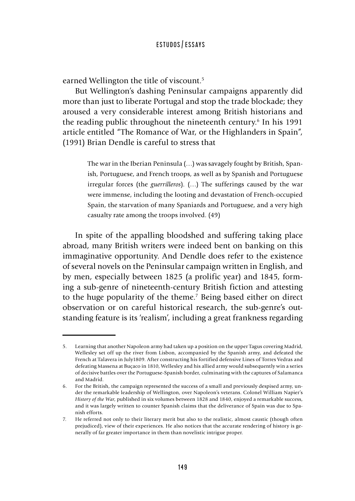earned Wellington the title of viscount.<sup>5</sup>

But Wellington's dashing Peninsular campaigns apparently did more than just to liberate Portugal and stop the trade blockade; they aroused a very considerable interest among British historians and the reading public throughout the nineteenth century.<sup>6</sup> In his 1991 article entitled "The Romance of War, or the Highlanders in Spain", (1991) Brian Dendle is careful to stress that

> The war in the Iberian Peninsula (…) was savagely fought by British, Spanish, Portuguese, and French troops, as well as by Spanish and Portuguese irregular forces (the *guerrilleros*). (…) The sufferings caused by the war were immense, including the looting and devastation of French-occupied Spain, the starvation of many Spaniards and Portuguese, and a very high casualty rate among the troops involved. (49)

In spite of the appalling bloodshed and suffering taking place abroad, many British writers were indeed bent on banking on this immaginative opportunity. And Dendle does refer to the existence of several novels on the Peninsular campaign written in English, and by men, especially between 1825 (a prolific year) and 1845, forming a sub-genre of nineteenth-century British fiction and attesting to the huge popularity of the theme.7 Being based either on direct observation or on careful historical research, the sub-genre's outstanding feature is its 'realism', including a great frankness regarding

<sup>5.</sup> Learning that another Napoleon army had taken up a position on the upper Tagus covering Madrid, Wellesley set off up the river from Lisbon, accompanied by the Spanish army, and defeated the French at Talavera in July1809. After constructing his fortified defensive Lines of Torres Vedras and defeating Massena at Buçaco in 1810, Wellesley and his allied army would subsequently win a series of decisive battles over the Portuguese-Spanish border, culminating with the captures of Salamanca and Madrid.

<sup>6.</sup> For the British, the campaign represented the success of a small and previously despised army, under the remarkable leadership of Wellington, over Napoleon's veterans. Colonel William Napier's *History of the War*, published in six volumes between 1828 and 1840, enjoyed a remarkable success, and it was largely written to counter Spanish claims that the deliverance of Spain was due to Spanish efforts.

<sup>7.</sup> He referred not only to their literary merit but also to the realistic, almost caustic (though often prejudiced), view of their experiences. He also notices that the accurate rendering of history is generally of far greater importance in them than novelistic intrigue proper.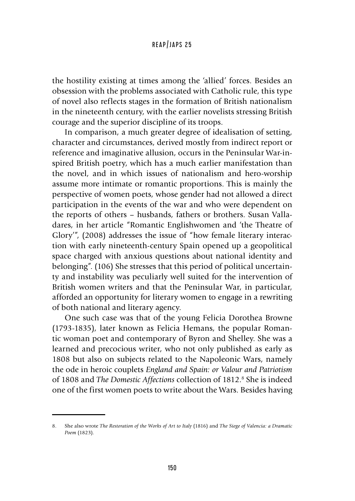the hostility existing at times among the 'allied' forces. Besides an obsession with the problems associated with Catholic rule, this type of novel also reflects stages in the formation of British nationalism in the nineteenth century, with the earlier novelists stressing British courage and the superior discipline of its troops.

In comparison, a much greater degree of idealisation of setting, character and circumstances, derived mostly from indirect report or reference and imaginative allusion, occurs in the Peninsular War-inspired British poetry, which has a much earlier manifestation than the novel, and in which issues of nationalism and hero-worship assume more intimate or romantic proportions. This is mainly the perspective of women poets, whose gender had not allowed a direct participation in the events of the war and who were dependent on the reports of others – husbands, fathers or brothers. Susan Valladares, in her article "Romantic Englishwomen and 'the Theatre of Glory'", (2008) addresses the issue of "how female literary interaction with early nineteenth-century Spain opened up a geopolitical space charged with anxious questions about national identity and belonging". (106) She stresses that this period of political uncertainty and instability was peculiarly well suited for the intervention of British women writers and that the Peninsular War, in particular, afforded an opportunity for literary women to engage in a rewriting of both national and literary agency.

One such case was that of the young Felicia Dorothea Browne (1793-1835), later known as Felicia Hemans, the popular Romantic woman poet and contemporary of Byron and Shelley. She was a learned and precocious writer, who not only published as early as 1808 but also on subjects related to the Napoleonic Wars, namely the ode in heroic couplets *England and Spain: or Valour and Patriotism*  of 1808 and *The Domestic Affections* collection of 1812.<sup>8</sup> She is indeed one of the first women poets to write about the Wars. Besides having

<sup>8.</sup> She also wrote *The Restoration of the Works of Art to Italy* (1816) and *The Siege of Valencia: a Dramatic Poem* (1823).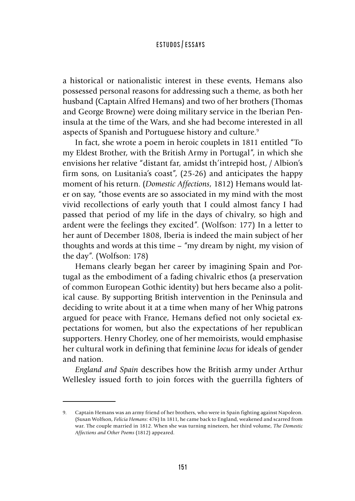a historical or nationalistic interest in these events, Hemans also possessed personal reasons for addressing such a theme, as both her husband (Captain Alfred Hemans) and two of her brothers (Thomas and George Browne) were doing military service in the Iberian Peninsula at the time of the Wars, and she had become interested in all aspects of Spanish and Portuguese history and culture.<sup>9</sup>

In fact, she wrote a poem in heroic couplets in 1811 entitled "To my Eldest Brother, with the British Army in Portugal", in which she envisions her relative "distant far, amidst th'intrepid host, / Albion's firm sons, on Lusitania's coast", (25-26) and anticipates the happy moment of his return. (*Domestic Affections*, 1812) Hemans would later on say, "those events are so associated in my mind with the most vivid recollections of early youth that I could almost fancy I had passed that period of my life in the days of chivalry, so high and ardent were the feelings they excited". (Wolfson: 177) In a letter to her aunt of December 1808, Iberia is indeed the main subject of her thoughts and words at this time – "my dream by night, my vision of the day". (Wolfson: 178)

Hemans clearly began her career by imagining Spain and Portugal as the embodiment of a fading chivalric ethos (a preservation of common European Gothic identity) but hers became also a political cause. By supporting British intervention in the Peninsula and deciding to write about it at a time when many of her Whig patrons argued for peace with France, Hemans defied not only societal expectations for women, but also the expectations of her republican supporters. Henry Chorley, one of her memoirists, would emphasise her cultural work in defining that feminine *locus* for ideals of gender and nation.

*England and Spain* describes how the British army under Arthur Wellesley issued forth to join forces with the guerrilla fighters of

<sup>9.</sup> Captain Hemans was an army friend of her brothers, who were in Spain fighting against Napoleon. (Susan Wolfson, *Felicia Hemans*: 476) In 1811, he came back to England, weakened and scarred from war. The couple married in 1812. When she was turning nineteen, her third volume, *The Domestic Affections and Other Poems* (1812) appeared.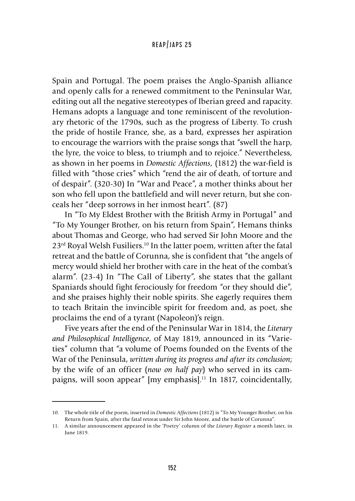Spain and Portugal. The poem praises the Anglo-Spanish alliance and openly calls for a renewed commitment to the Peninsular War, editing out all the negative stereotypes of Iberian greed and rapacity. Hemans adopts a language and tone reminiscent of the revolutionary rhetoric of the 1790s, such as the progress of Liberty. To crush the pride of hostile France, she, as a bard, expresses her aspiration to encourage the warriors with the praise songs that "swell the harp, the lyre, the voice to bless, to triumph and to rejoice." Nevertheless, as shown in her poems in *Domestic Affections*, (1812) the war-field is filled with "those cries" which "rend the air of death, of torture and of despair". (320-30) In "War and Peace", a mother thinks about her son who fell upon the battlefield and will never return, but she conceals her "deep sorrows in her inmost heart". (87)

In "To My Eldest Brother with the British Army in Portugal" and "To My Younger Brother, on his return from Spain", Hemans thinks about Thomas and George, who had served Sir John Moore and the 23rd Royal Welsh Fusiliers.10 In the latter poem, written after the fatal retreat and the battle of Corunna, she is confident that "the angels of mercy would shield her brother with care in the heat of the combat's alarm". (23-4) In "The Call of Liberty", she states that the gallant Spaniards should fight ferociously for freedom "or they should die", and she praises highly their noble spirits. She eagerly requires them to teach Britain the invincible spirit for freedom and, as poet, she proclaims the end of a tyrant (Napoleon)'s reign.

Five years after the end of the Peninsular War in 1814, the *Literary and Philosophical Intelligence*, of May 1819, announced in its "Varieties" column that "a volume of Poems founded on the Events of the War of the Peninsula, *written during its progress and after its conclusion*; by the wife of an officer (*now on half pay*) who served in its campaigns, will soon appear" [my emphasis].<sup>11</sup> In 1817, coincidentally,

<sup>10.</sup> The whole title of the poem, inserted in *Domestic Affections* (1812) is "To My Younger Brother, on his Return from Spain, after the fatal retreat under Sir John Moore, and the battle of Corunna".

<sup>11.</sup> A similar announcement appeared in the 'Poetry' column of the *Literary Register* a month later, in June 1819.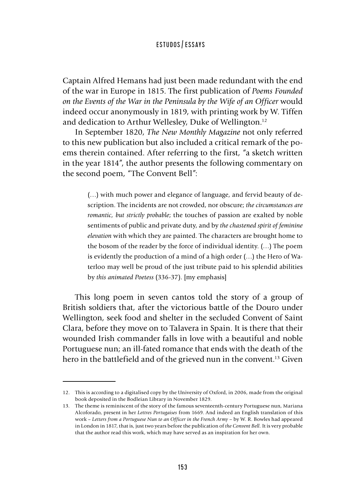Captain Alfred Hemans had just been made redundant with the end of the war in Europe in 1815. The first publication of *Poems Founded on the Events of the War in the Peninsula by the Wife of an Officer* would indeed occur anonymously in 1819, with printing work by W. Tiffen and dedication to Arthur Wellesley, Duke of Wellington.<sup>12</sup>

In September 1820, *The New Monthly Magazine* not only referred to this new publication but also included a critical remark of the poems therein contained. After referring to the first, "a sketch written in the year 1814", the author presents the following commentary on the second poem, "The Convent Bell":

> (…) with much power and elegance of language, and fervid beauty of description. The incidents are not crowded, nor obscure; *the circumstances are romantic, but strictly probable*; the touches of passion are exalted by noble sentiments of public and private duty, and by *the chastened spirit of feminine elevation* with which they are painted. The characters are brought home to the bosom of the reader by the force of individual identity. (…) The poem is evidently the production of a mind of a high order (…) the Hero of Waterloo may well be proud of the just tribute paid to his splendid abilities by *this animated Poetess* (336-37). [my emphasis]

This long poem in seven cantos told the story of a group of British soldiers that, after the victorious battle of the Douro under Wellington, seek food and shelter in the secluded Convent of Saint Clara, before they move on to Talavera in Spain. It is there that their wounded Irish commander falls in love with a beautiful and noble Portuguese nun; an ill-fated romance that ends with the death of the hero in the battlefield and of the grieved nun in the convent.<sup>13</sup> Given

<sup>12.</sup> This is according to a digitalised copy by the University of Oxford, in 2006, made from the original book deposited in the Bodleian Library in November 1829.

<sup>13.</sup> The theme is reminiscent of the story of the famous seventeenth-century Portuguese nun, Mariana Alcoforado, present in her *Lettres Portugaises* from 1669. And indeed an English translation of this work – Letters from a Portuguese Nun to an Officer in the French Army – by W. R. Bowles had appeared in London in 1817, that is, just two years before the publication of *the Convent Bell.* It is very probable that the author read this work, which may have served as an inspiration for her own.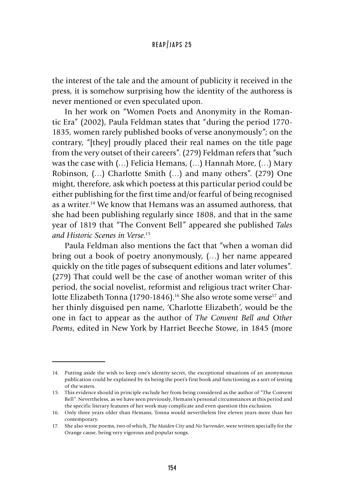the interest of the tale and the amount of publicity it received in the press, it is somehow surprising how the identity of the authoress is never mentioned or even speculated upon.

In her work on "Women Poets and Anonymity in the Romantic Era" (2002), Paula Feldman states that "during the period 1770- 1835, women rarely published books of verse anonymously"; on the contrary, "[they] proudly placed their real names on the title page from the very outset of their careers". (279) Feldman refers that "such was the case with (…) Felicia Hemans, (…) Hannah More, (…) Mary Robinson, (…) Charlotte Smith (…) and many others". (279) One might, therefore, ask which poetess at this particular period could be either publishing for the first time and/or fearful of being recognised as a writer.14 We know that Hemans was an assumed authoress, that she had been publishing regularly since 1808, and that in the same year of 1819 that "The Convent Bell" appeared she published *Tales and Historic Scenes in Verse*. 15

Paula Feldman also mentions the fact that "when a woman did bring out a book of poetry anonymously, (…) her name appeared quickly on the title pages of subsequent editions and later volumes". (279) That could well be the case of another woman writer of this period, the social novelist, reformist and religious tract writer Charlotte Elizabeth Tonna (1790-1846).<sup>16</sup> She also wrote some verse<sup>17</sup> and her thinly disguised pen name, 'Charlotte Elizabeth', would be the one in fact to appear as the author of *The Convent Bell and Other Poems*, edited in New York by Harriet Beeche Stowe, in 1845 (more

<sup>14.</sup> Putting aside the wish to keep one's identity secret, the exceptional situations of an anonymous publication could be explained by its being the poet's first book and functioning as a sort of testing of the waters.

<sup>15.</sup> This evidence should in principle exclude her from being considered as the author of "The Convent Bell". Nevertheless, as we have seen previously, Hemans's personal circumstances at this period and the specific literary features of her work may complicate and even question this exclusion.

<sup>16.</sup> Only three years older than Hemans, Tonna would nevertheless live eleven years more than her contemporary.

<sup>17.</sup> She also wrote poems, two of which, *The Maiden City* and *No Surrender*, were written specially for the Orange cause, being very vigorous and popular songs.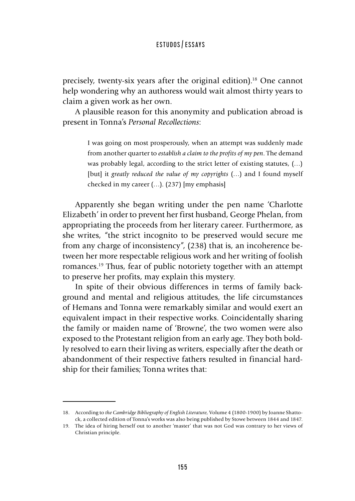precisely, twenty-six years after the original edition).18 One cannot help wondering why an authoress would wait almost thirty years to claim a given work as her own.

A plausible reason for this anonymity and publication abroad is present in Tonna's *Personal Recollections*:

> I was going on most prosperously, when an attempt was suddenly made from another quarter to *establish a claim to the profits of my pen*. The demand was probably legal, according to the strict letter of existing statutes, (…) [but] it *greatly reduced the value of my copyrights* (…) and I found myself checked in my career (…). (237) [my emphasis]

Apparently she began writing under the pen name 'Charlotte Elizabeth' in order to prevent her first husband, George Phelan, from appropriating the proceeds from her literary career. Furthermore, as she writes, "the strict incognito to be preserved would secure me from any charge of inconsistency", (238) that is, an incoherence between her more respectable religious work and her writing of foolish romances.19 Thus, fear of public notoriety together with an attempt to preserve her profits, may explain this mystery.

In spite of their obvious differences in terms of family background and mental and religious attitudes, the life circumstances of Hemans and Tonna were remarkably similar and would exert an equivalent impact in their respective works. Coincidentally sharing the family or maiden name of 'Browne', the two women were also exposed to the Protestant religion from an early age. They both boldly resolved to earn their living as writers, especially after the death or abandonment of their respective fathers resulted in financial hardship for their families; Tonna writes that:

<sup>18.</sup> According to *the Cambridge Bibliography of English Literature,* Volume 4 (1800-1900) by Joanne Shattock, a collected edition of Tonna's works was also being published by Stowe between 1844 and 1847.

<sup>19.</sup> The idea of hiring herself out to another 'master' that was not God was contrary to her views of Christian principle.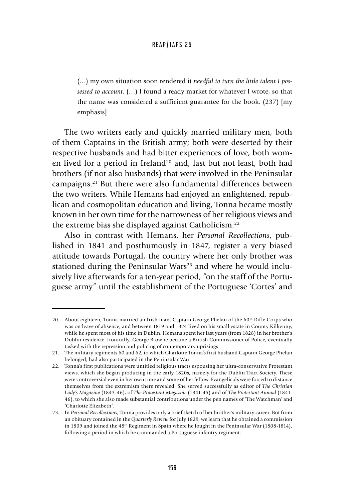(…) my own situation soon rendered it *needful to turn the little talent I possessed to account*. (…) I found a ready market for whatever I wrote, so that the name was considered a sufficient guarantee for the book. (237) [my emphasis]

The two writers early and quickly married military men, both of them Captains in the British army; both were deserted by their respective husbands and had bitter experiences of love, both women lived for a period in Ireland<sup>20</sup> and, last but not least, both had brothers (if not also husbands) that were involved in the Peninsular campaigns.21 But there were also fundamental differences between the two writers. While Hemans had enjoyed an enlightened, republican and cosmopolitan education and living, Tonna became mostly known in her own time for the narrowness of her religious views and the extreme bias she displayed against Catholicism.22

Also in contrast with Hemans, her *Personal Recollections*, published in 1841 and posthumously in 1847, register a very biased attitude towards Portugal, the country where her only brother was stationed during the Peninsular Wars<sup>23</sup> and where he would inclusively live afterwards for a ten-year period, "on the staff of the Portuguese army" until the establishment of the Portuguese 'Cortes' and

<sup>20.</sup> About eighteen, Tonna married an Irish man, Captain George Phelan of the  $60<sup>th</sup>$  Rifle Corps who was on leave of absence, and between 1819 and 1824 lived on his small estate in County Kilkenny, while he spent most of his time in Dublin. Hemans spent her last years (from 1828) in her brother's Dublin residence. Ironically, George Browne became a British Commissioner of Police, eventually tasked with the repression and policing of contemporary uprisings.

<sup>21.</sup> The military regiments 60 and 62, to which Charlotte Tonna's first husband Captain George Phelan belonged, had also participated in the Peninsular War.

<sup>22.</sup> Tonna's first publications were untitled religious tracts espousing her ultra-conservative Protestant views, which she began producing in the early 1820s, namely for the Dublin Tract Society. These were controversial even in her own time and some of her fellow-Evangelicals were forced to distance themselves from the extremism there revealed. She served successfully as editor of *The Christian Lady's Magazine* (1843-46), of *The Protestant Magazine* (1841-45) and of *The Protestant Annual* (1841- 46), to which she also made substantial contributions under the pen names of 'The Watchman' and 'Charlotte Elizabeth'.

<sup>23.</sup> In *Personal Recollections*, Tonna provides only a brief sketch of her brother's military career. But from an obituary contained in the *Quarterly Review* for July 1829, we learn that he obtained a commission in 1809 and joined the  $48<sup>th</sup>$  Regiment in Spain where he fought in the Peninsular War (1808-1814), following a period in which he commanded a Portuguese infantry regiment.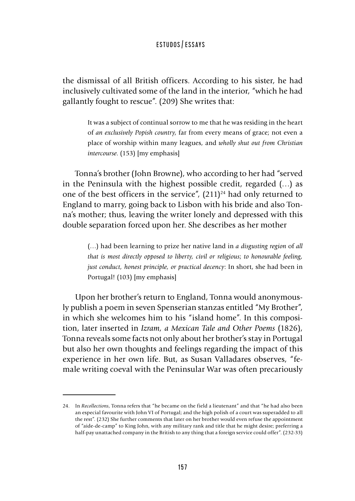the dismissal of all British officers. According to his sister, he had inclusively cultivated some of the land in the interior, "which he had gallantly fought to rescue". (209) She writes that:

> It was a subject of continual sorrow to me that he was residing in the heart of *an exclusively Popish country*, far from every means of grace; not even a place of worship within many leagues, and *wholly shut out from Christian intercourse*. (153) [my emphasis]

Tonna's brother (John Browne), who according to her had "served in the Peninsula with the highest possible credit, regarded (…) as one of the best officers in the service",  $(211)^{24}$  had only returned to England to marry, going back to Lisbon with his bride and also Tonna's mother; thus, leaving the writer lonely and depressed with this double separation forced upon her. She describes as her mother

> (…) had been learning to prize her native land in *a disgusting region* of *all that is most directly opposed to liberty, civil or religious*; *to honourable feeling, just conduct, honest principle, or practical decency*: In short, she had been in Portugal! (103) [my emphasis]

Upon her brother's return to England, Tonna would anonymously publish a poem in seven Spenserian stanzas entitled "My Brother", in which she welcomes him to his "island home". In this composition, later inserted in *Izram, a Mexican Tale and Other Poems* (1826), Tonna reveals some facts not only about her brother's stay in Portugal but also her own thoughts and feelings regarding the impact of this experience in her own life. But, as Susan Valladares observes, "female writing coeval with the Peninsular War was often precariously

<sup>24.</sup> In *Recollections*, Tonna refers that "he became on the field a lieutenant" and that "he had also been an especial favourite with John VI of Portugal; and the high polish of a court was superadded to all the rest". (232) She further comments that later on her brother would even refuse the appointment of "aide-de-camp" to King John, with any military rank and title that he might desire; preferring a half-pay unattached company in the British to any thing that a foreign service could offer". (232-33)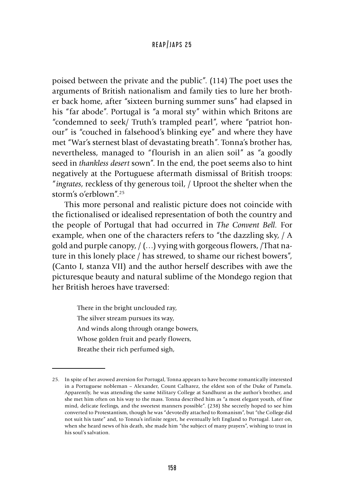poised between the private and the public". (114) The poet uses the arguments of British nationalism and family ties to lure her brother back home, after "sixteen burning summer suns" had elapsed in his "far abode". Portugal is "a moral sty" within which Britons are "condemned to seek/ Truth's trampled pearl", where "patriot honour" is "couched in falsehood's blinking eye" and where they have met "War's sternest blast of devastating breath". Tonna's brother has, nevertheless, managed to "flourish in an alien soil" as "a goodly seed in *thankless desert* sown". In the end, the poet seems also to hint negatively at the Portuguese aftermath dismissal of British troops: "*ingrates*, reckless of thy generous toil, / Uproot the shelter when the storm's o'erblown".25

This more personal and realistic picture does not coincide with the fictionalised or idealised representation of both the country and the people of Portugal that had occurred in *The Convent Bell.* For example, when one of the characters refers to "the dazzling sky, / A gold and purple canopy, / (…) vying with gorgeous flowers, /That nature in this lonely place / has strewed, to shame our richest bowers", (Canto I, stanza VII) and the author herself describes with awe the picturesque beauty and natural sublime of the Mondego region that her British heroes have traversed:

There in the bright unclouded ray, The silver stream pursues its way, And winds along through orange bowers, Whose golden fruit and pearly flowers, Breathe their rich perfumed sigh,

<sup>25.</sup> In spite of her avowed aversion for Portugal, Tonna appears to have become romantically interested in a Portuguese nobleman – Alexander, Count Calharez, the eldest son of the Duke of Pamela. Apparently, he was attending the same Military College at Sandhurst as the author's brother, and she met him often on his way to the mass. Tonna described him as "a most elegant youth, of fine mind, delicate feelings, and the sweetest manners possible". (238) She secretly hoped to see him converted to Protestantism, though he was "devotedly attached to Romanism", but "the College did not suit his taste" and, to Tonna's infinite regret, he eventually left England to Portugal. Later on, when she heard news of his death, she made him "the subject of many prayers", wishing to trust in his soul's salvation.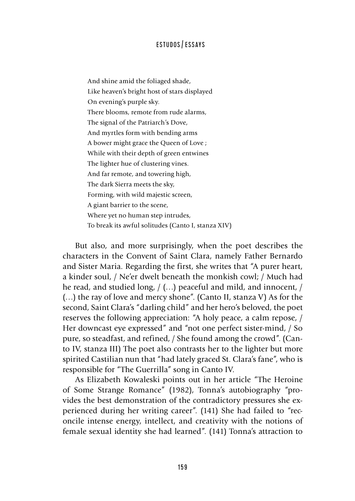And shine amid the foliaged shade, Like heaven's bright host of stars displayed On evening's purple sky. There blooms, remote from rude alarms, The signal of the Patriarch's Dove, And myrtles form with bending arms A bower might grace the Queen of Love ; While with their depth of green entwines The lighter hue of clustering vines. And far remote, and towering high, The dark Sierra meets the sky, Forming, with wild majestic screen, A giant barrier to the scene, Where yet no human step intrudes, To break its awful solitudes (Canto I, stanza XIV)

But also, and more surprisingly, when the poet describes the characters in the Convent of Saint Clara, namely Father Bernardo and Sister Maria. Regarding the first, she writes that "A purer heart, a kinder soul, / Ne'er dwelt beneath the monkish cowl; / Much had he read, and studied long, / (…) peaceful and mild, and innocent, / (…) the ray of love and mercy shone". (Canto II, stanza V) As for the second, Saint Clara's "darling child" and her hero's beloved, the poet reserves the following appreciation: "A holy peace, a calm repose, / Her downcast eye expressed" and "not one perfect sister-mind, / So pure, so steadfast, and refined, / She found among the crowd". (Canto IV, stanza III) The poet also contrasts her to the lighter but more spirited Castilian nun that "had lately graced St. Clara's fane", who is responsible for "The Guerrilla" song in Canto IV.

As Elizabeth Kowaleski points out in her article "The Heroine of Some Strange Romance" (1982), Tonna's autobiography "provides the best demonstration of the contradictory pressures she experienced during her writing career". (141) She had failed to "reconcile intense energy, intellect, and creativity with the notions of female sexual identity she had learned". (141) Tonna's attraction to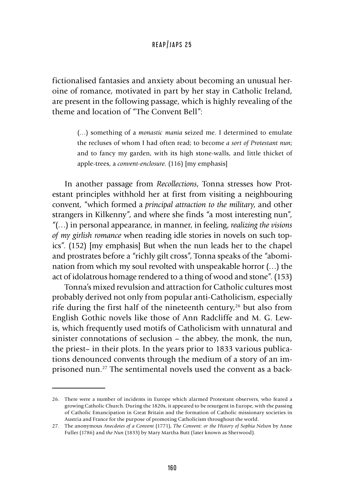fictionalised fantasies and anxiety about becoming an unusual heroine of romance, motivated in part by her stay in Catholic Ireland, are present in the following passage, which is highly revealing of the theme and location of "The Convent Bell":

> (…) something of a *monastic mania* seized me. I determined to emulate the recluses of whom I had often read; to become *a sort of Protestant nun*; and to fancy my garden, with its high stone-walls, and little thicket of apple-trees, a *convent-enclosure.* (116) [my emphasis]

In another passage from *Recollections*, Tonna stresses how Protestant principles withhold her at first from visiting a neighbouring convent, "which formed a *principal attraction to the military*, and other strangers in Kilkenny", and where she finds "a most interesting nun", "(…) in personal appearance, in manner, in feeling, *realizing the visions of my girlish romance* when reading idle stories in novels on such topics". (152) [my emphasis] But when the nun leads her to the chapel and prostrates before a "richly gilt cross", Tonna speaks of the "abomination from which my soul revolted with unspeakable horror (…) the act of idolatrous homage rendered to a thing of wood and stone". (153)

Tonna's mixed revulsion and attraction for Catholic cultures most probably derived not only from popular anti-Catholicism, especially rife during the first half of the nineteenth century,<sup>26</sup> but also from English Gothic novels like those of Ann Radcliffe and M. G. Lewis, which frequently used motifs of Catholicism with unnatural and sinister connotations of seclusion – the abbey, the monk, the nun, the priest– in their plots. In the years prior to 1833 various publications denounced convents through the medium of a story of an imprisoned nun.27 The sentimental novels used the convent as a back-

<sup>26.</sup> There were a number of incidents in Europe which alarmed Protestant observers, who feared a growing Catholic Church. During the 1820s, it appeared to be resurgent in Europe, with the passing of Catholic Emancipation in Great Britain and the formation of Catholic missionary societies in Austria and France for the purpose of promoting Catholicism throughout the world.

<sup>27.</sup> The anonymous *Anecdotes of a Convent* (1771), *The Convent: or the History of Sophia Nelson* by Anne Fuller (1786) and *the Nun* (1833) by Mary Martha Butt (later known as Sherwood).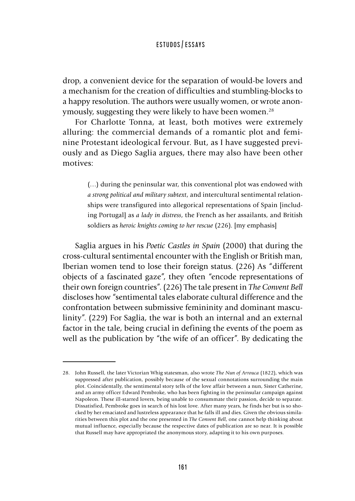drop, a convenient device for the separation of would-be lovers and a mechanism for the creation of difficulties and stumbling-blocks to a happy resolution. The authors were usually women, or wrote anonymously, suggesting they were likely to have been women.<sup>28</sup>

For Charlotte Tonna, at least, both motives were extremely alluring: the commercial demands of a romantic plot and feminine Protestant ideological fervour. But, as I have suggested previously and as Diego Saglia argues, there may also have been other motives:

> (…) during the peninsular war, this conventional plot was endowed with *a strong political and military subtext*, and intercultural sentimental relationships were transfigured into allegorical representations of Spain [including Portugal] as *a lady in distress*, the French as her assailants, and British soldiers as *heroic knights coming to her rescue* (226). [my emphasis]

Saglia argues in his *Poetic Castles in Spain* (2000) that during the cross-cultural sentimental encounter with the English or British man, Iberian women tend to lose their foreign status. (226) As "different objects of a fascinated gaze", they often "encode representations of their own foreign countries". (226) The tale present in *The Convent Bell*  discloses how "sentimental tales elaborate cultural difference and the confrontation between submissive femininity and dominant masculinity". (229) For Saglia, the war is both an internal and an external factor in the tale, being crucial in defining the events of the poem as well as the publication by "the wife of an officer". By dedicating the

<sup>28.</sup> John Russell, the later Victorian Whig statesman, also wrote *The Nun of Arrouca* (1822), which was suppressed after publication, possibly because of the sexual connotations surrounding the main plot. Coincidentally, the sentimental story tells of the love affair between a nun, Sister Catherine, and an army officer Edward Pembroke, who has been fighting in the peninsular campaign against Napoleon. These ill-starred lovers, being unable to consummate their passion, decide to separate. Dissatisfied, Pembroke goes in search of his lost love. After many years, he finds her but is so shocked by her emaciated and lustreless appearance that he falls ill and dies. Given the obvious similarities between this plot and the one presented in *The Convent Bell*, one cannot help thinking about mutual influence, especially because the respective dates of publication are so near. It is possible that Russell may have appropriated the anonymous story, adapting it to his own purposes.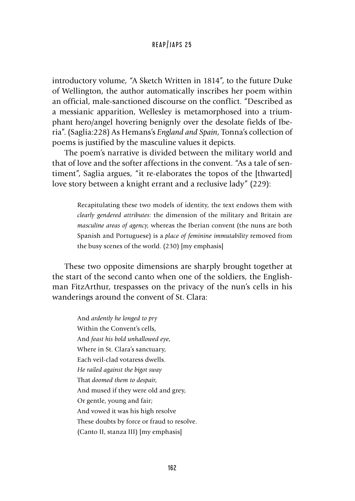introductory volume, "A Sketch Written in 1814", to the future Duke of Wellington, the author automatically inscribes her poem within an official, male-sanctioned discourse on the conflict. "Described as a messianic apparition, Wellesley is metamorphosed into a triumphant hero/angel hovering benignly over the desolate fields of Iberia". (Saglia:228) As Hemans's *England and Spain*, Tonna's collection of poems is justified by the masculine values it depicts.

The poem's narrative is divided between the military world and that of love and the softer affections in the convent. "As a tale of sentiment", Saglia argues, "it re-elaborates the topos of the [thwarted] love story between a knight errant and a reclusive lady" (229):

> Recapitulating these two models of identity, the text endows them with *clearly gendered attributes:* the dimension of the military and Britain are *masculine areas of agency*, whereas the Iberian convent (the nuns are both Spanish and Portuguese) is a *place of feminine immutability* removed from the busy scenes of the world. (230) [my emphasis]

These two opposite dimensions are sharply brought together at the start of the second canto when one of the soldiers, the Englishman FitzArthur, trespasses on the privacy of the nun's cells in his wanderings around the convent of St. Clara:

> And *ardently he longed to pry* Within the Convent's cells, And *feast his bold unhallowed eye*, Where in St. Clara's sanctuary, Each veil-clad votaress dwells. *He railed against the bigot sway* That *doomed them to despair*, And mused if they were old and grey, Or gentle, young and fair; And vowed it was his high resolve These doubts by force or fraud to resolve. (Canto II, stanza III) [my emphasis]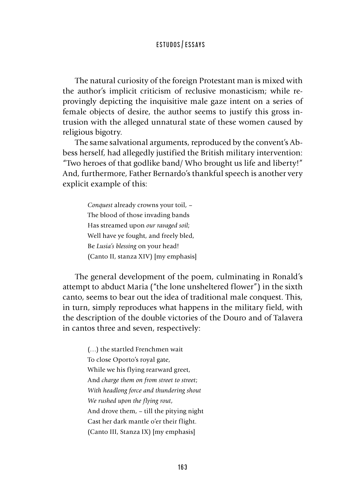The natural curiosity of the foreign Protestant man is mixed with the author's implicit criticism of reclusive monasticism; while reprovingly depicting the inquisitive male gaze intent on a series of female objects of desire, the author seems to justify this gross intrusion with the alleged unnatural state of these women caused by religious bigotry.

The same salvational arguments, reproduced by the convent's Abbess herself, had allegedly justified the British military intervention: "Two heroes of that godlike band/ Who brought us life and liberty!" And, furthermore, Father Bernardo's thankful speech is another very explicit example of this:

> *Conquest* already crowns your toil, – The blood of those invading bands Has streamed upon *our ravaged soil*; Well have ye fought, and freely bled, Be *Lusia's blessing* on your head! (Canto II, stanza XIV) [my emphasis]

The general development of the poem, culminating in Ronald's attempt to abduct Maria ("the lone unsheltered flower") in the sixth canto, seems to bear out the idea of traditional male conquest. This, in turn, simply reproduces what happens in the military field, with the description of the double victories of the Douro and of Talavera in cantos three and seven, respectively:

> (…) the startled Frenchmen wait To close Oporto's royal gate, While we his flying rearward greet, And *charge them on from street to street*; *With headlong force and thundering shout We rushed upon the flying rout*, And drove them, – till the pitying night Cast her dark mantle o'er their flight. (Canto III, Stanza IX) [my emphasis]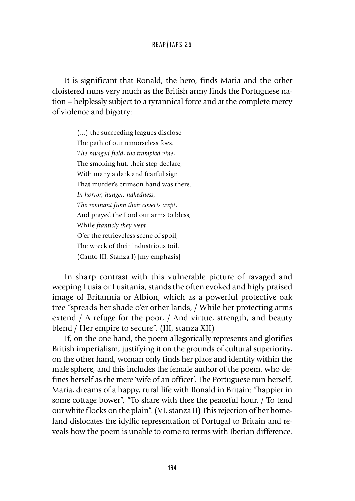It is significant that Ronald, the hero, finds Maria and the other cloistered nuns very much as the British army finds the Portuguese nation – helplessly subject to a tyrannical force and at the complete mercy of violence and bigotry:

> (…) the succeeding leagues disclose The path of our remorseless foes. *The ravaged field*, *the trampled vine*, The smoking hut, their step declare, With many a dark and fearful sign That murder's crimson hand was there. *In horror, hunger, nakedness, The remnant from their coverts crept*, And prayed the Lord our arms to bless, While *franticly they wept* O'er the retrieveless scene of spoil, The wreck of their industrious toil. (Canto III, Stanza I) [my emphasis]

In sharp contrast with this vulnerable picture of ravaged and weeping Lusia or Lusitania, stands the often evoked and higly praised image of Britannia or Albion, which as a powerful protective oak tree "spreads her shade o'er other lands, / While her protecting arms extend / A refuge for the poor, / And virtue, strength, and beauty blend / Her empire to secure". (III, stanza XII)

If, on the one hand, the poem allegorically represents and glorifies British imperialism, justifying it on the grounds of cultural superiority, on the other hand, woman only finds her place and identity within the male sphere, and this includes the female author of the poem, who defines herself as the mere 'wife of an officer'. The Portuguese nun herself, Maria, dreams of a happy, rural life with Ronald in Britain: "happier in some cottage bower", "To share with thee the peaceful hour, / To tend our white flocks on the plain". (VI, stanza II) This rejection of her homeland dislocates the idyllic representation of Portugal to Britain and reveals how the poem is unable to come to terms with Iberian difference.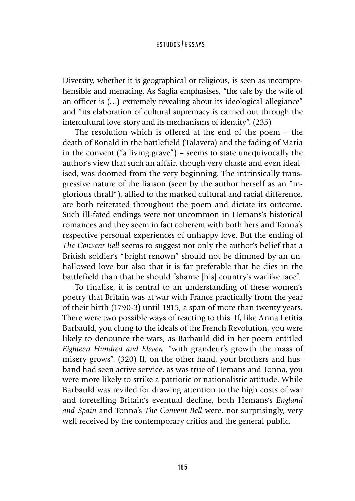Diversity, whether it is geographical or religious, is seen as incomprehensible and menacing. As Saglia emphasises, "the tale by the wife of an officer is (…) extremely revealing about its ideological allegiance" and "its elaboration of cultural supremacy is carried out through the intercultural love-story and its mechanisms of identity". (235)

The resolution which is offered at the end of the poem – the death of Ronald in the battlefield (Talavera) and the fading of Maria in the convent ("a living grave") – seems to state unequivocally the author's view that such an affair, though very chaste and even idealised, was doomed from the very beginning. The intrinsically transgressive nature of the liaison (seen by the author herself as an "inglorious thrall"), allied to the marked cultural and racial difference, are both reiterated throughout the poem and dictate its outcome. Such ill-fated endings were not uncommon in Hemans's historical romances and they seem in fact coherent with both hers and Tonna's respective personal experiences of unhappy love. But the ending of *The Convent Bell* seems to suggest not only the author's belief that a British soldier's "bright renown" should not be dimmed by an unhallowed love but also that it is far preferable that he dies in the battlefield than that he should "shame [his] country's warlike race".

To finalise, it is central to an understanding of these women's poetry that Britain was at war with France practically from the year of their birth (1790-3) until 1815, a span of more than twenty years. There were two possible ways of reacting to this. If, like Anna Letitia Barbauld, you clung to the ideals of the French Revolution, you were likely to denounce the wars, as Barbauld did in her poem entitled *Eighteen Hundred and Eleven*: "with grandeur's growth the mass of misery grows". (320) If, on the other hand, your brothers and husband had seen active service, as was true of Hemans and Tonna, you were more likely to strike a patriotic or nationalistic attitude. While Barbauld was reviled for drawing attention to the high costs of war and foretelling Britain's eventual decline, both Hemans's *England and Spain* and Tonna's *The Convent Bell* were, not surprisingly, very well received by the contemporary critics and the general public.